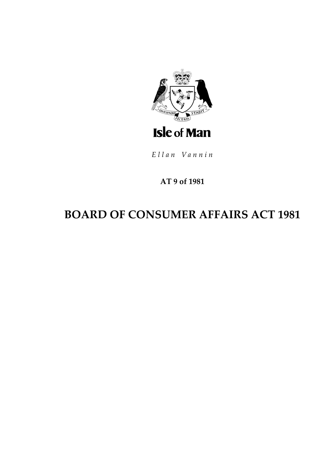

Ellan Vannin

### AT 9 of 1981

# **BOARD OF CONSUMER AFFAIRS ACT 1981**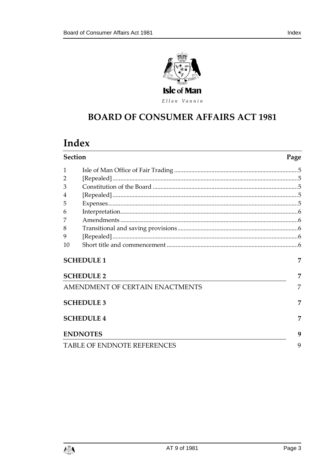

Ellan Vannin

# **BOARD OF CONSUMER AFFAIRS ACT 1981**

## Index

| <b>Section</b>                     |  | Page |
|------------------------------------|--|------|
| 1                                  |  |      |
| 2                                  |  |      |
| 3                                  |  |      |
| 4                                  |  |      |
| 5                                  |  |      |
| 6                                  |  |      |
|                                    |  |      |
| 8                                  |  |      |
| 9                                  |  |      |
| 10                                 |  |      |
| <b>SCHEDULE 1</b>                  |  | 7    |
| <b>SCHEDULE 2</b>                  |  | 7    |
| AMENDMENT OF CERTAIN ENACTMENTS    |  | 7    |
| <b>SCHEDULE 3</b>                  |  | 7    |
| <b>SCHEDULE 4</b>                  |  | 7    |
| <b>ENDNOTES</b>                    |  | 9    |
| <b>TABLE OF ENDNOTE REFERENCES</b> |  | 9    |

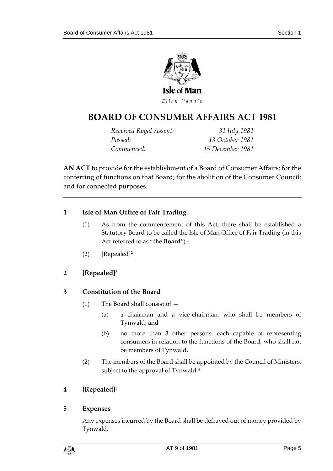

### **BOARD OF CONSUMER AFFAIRS ACT 1981**

*Received Royal Assent: 31 July 1981 Passed: 13 October 1981 Commenced: 15 December 1981*

**AN ACT** to provide for the establishment of a Board of Consumer Affairs; for the conferring of functions on that Board; for the abolition of the Consumer Council; and for connected purposes.

#### <span id="page-4-0"></span>**1 Isle of Man Office of Fair Trading**

- (1) As from the commencement of this Act, there shall be established a Statutory Board to be called the Isle of Man Office of Fair Trading (in this Act referred to as "**the Board**").**<sup>1</sup>**
- (2) [Repealed]**<sup>2</sup>**

#### <span id="page-4-1"></span>**2 [Repealed]**<sup>3</sup>

#### <span id="page-4-2"></span>**3 Constitution of the Board**

- (1) The Board shall consist of
	- (a) a chairman and a vice-chairman, who shall be members of Tynwald; and
	- (b) no more than 3 other persons, each capable of representing consumers in relation to the functions of the Board, who shall not be members of Tynwald.
- (2) The members of the Board shall be appointed by the Council of Ministers, subject to the approval of Tynwald.**<sup>4</sup>**

#### <span id="page-4-3"></span>**4 [Repealed]**<sup>5</sup>

#### <span id="page-4-4"></span>**5 Expenses**

Any expenses incurred by the Board shall be defrayed out of money provided by Tynwald.

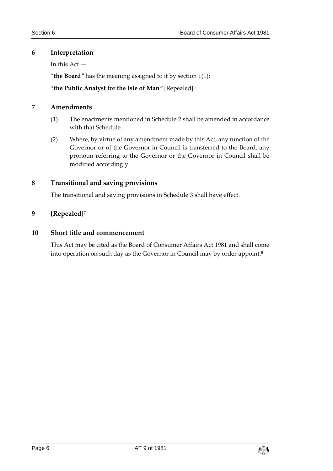#### <span id="page-5-0"></span>**6 Interpretation**

In this Act —

"**the Board**" has the meaning assigned to it by section 1(1);

#### "**the Public Analyst for the Isle of Man**" [Repealed]**<sup>6</sup>**

#### <span id="page-5-1"></span>**7 Amendments**

- (1) The enactments mentioned in Schedule 2 shall be amended in accordance with that Schedule.
- (2) Where, by virtue of any amendment made by this Act, any function of the Governor or of the Governor in Council is transferred to the Board, any pronoun referring to the Governor or the Governor in Council shall be modified accordingly.

#### <span id="page-5-2"></span>**8 Transitional and saving provisions**

The transitional and saving provisions in Schedule 3 shall have effect.

#### <span id="page-5-3"></span>**9 [Repealed]**<sup>7</sup>

#### <span id="page-5-4"></span>**10 Short title and commencement**

This Act may be cited as the Board of Consumer Affairs Act 1981 and shall come into operation on such day as the Governor in Council may by order appoint.**8**

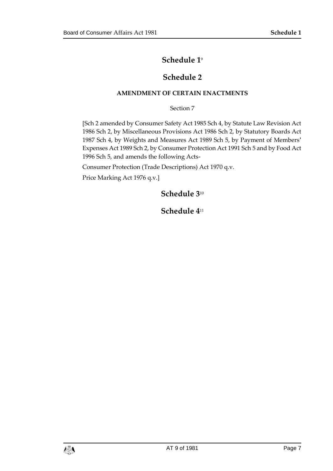#### **Schedule 1**<sup>9</sup>

#### **Schedule 2**

#### <span id="page-6-0"></span>**AMENDMENT OF CERTAIN ENACTMENTS**

Section 7

<span id="page-6-2"></span><span id="page-6-1"></span>[Sch 2 amended by Consumer Safety Act 1985 Sch 4, by Statute Law Revision Act 1986 Sch 2, by Miscellaneous Provisions Act 1986 Sch 2, by Statutory Boards Act 1987 Sch 4, by Weights and Measures Act 1989 Sch 5, by Payment of Members' Expenses Act 1989 Sch 2, by Consumer Protection Act 1991 Sch 5 and by Food Act 1996 Sch 5, and amends the following Acts-

Consumer Protection (Trade Descriptions) Act 1970 q.v.

<span id="page-6-4"></span><span id="page-6-3"></span>Price Marking Act 1976 q.v.]

#### **Schedule 3**<sup>10</sup>

#### **Schedule 4**11